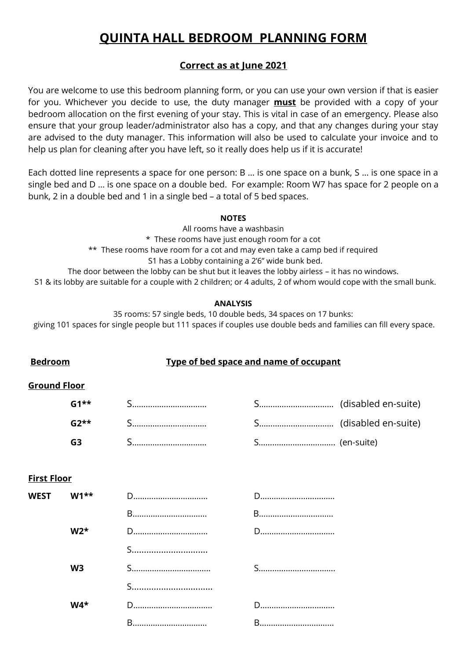# **QUINTA HALL BEDROOM PLANNING FORM**

## **Correct as at June 2021**

You are welcome to use this bedroom planning form, or you can use your own version if that is easier for you. Whichever you decide to use, the duty manager **must** be provided with a copy of your bedroom allocation on the first evening of your stay. This is vital in case of an emergency. Please also ensure that your group leader/administrator also has a copy, and that any changes during your stay are advised to the duty manager. This information will also be used to calculate your invoice and to help us plan for cleaning after you have left, so it really does help us if it is accurate!

Each dotted line represents a space for one person: B … is one space on a bunk, S … is one space in a single bed and D … is one space on a double bed. For example: Room W7 has space for 2 people on a bunk, 2 in a double bed and 1 in a single bed – a total of 5 bed spaces.

#### **NOTES**

All rooms have a washbasin \* These rooms have just enough room for a cot \*\* These rooms have room for a cot and may even take a camp bed if required S1 has a Lobby containing a 2'6" wide bunk bed. The door between the lobby can be shut but it leaves the lobby airless – it has no windows. S1 & its lobby are suitable for a couple with 2 children; or 4 adults, 2 of whom would cope with the small bunk.

### **ANALYSIS**

35 rooms: 57 single beds, 10 double beds, 34 spaces on 17 bunks: giving 101 spaces for single people but 111 spaces if couples use double beds and families can fill every space.

## **Bedroom Type of bed space and name of occupant**

### **Ground Floor**

| $G1**$            |  |  |
|-------------------|--|--|
| $G2^{\star\star}$ |  |  |
| G3                |  |  |

## **First Floor**

| WEST $W1**$    |   | D |
|----------------|---|---|
|                | B | B |
| $W2*$          |   | D |
|                | S |   |
| W <sub>3</sub> |   |   |
|                | S |   |
| $W4*$          |   | D |
|                |   |   |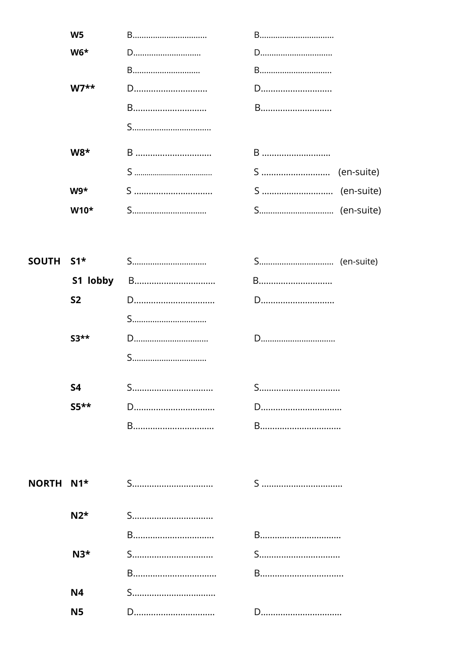| W <sub>5</sub> | B | B |
|----------------|---|---|
| $W6*$          | D | D |
|                | B | B |
| $W7**$         | D | D |
|                | B | B |
|                |   |   |
| $W8*$          |   | B |
|                |   |   |
| $W9*$          | S |   |
| $W10*$         | S |   |

| SOUTH S1* |          |   |   |
|-----------|----------|---|---|
|           | S1 lobby |   | B |
|           | S2       |   | D |
|           |          | S |   |
|           | $53**$   |   | D |
|           |          | S |   |
|           | S4       | S | S |
|           | $S5***$  |   | D |
|           |          |   | B |

| NORTH N1* |              |   |
|-----------|--------------|---|
|           | $N2^{\star}$ |   |
|           |              | B |
|           | $N3*$        | S |
|           |              | B |
|           | <b>N4</b>    |   |
|           | N5           | D |